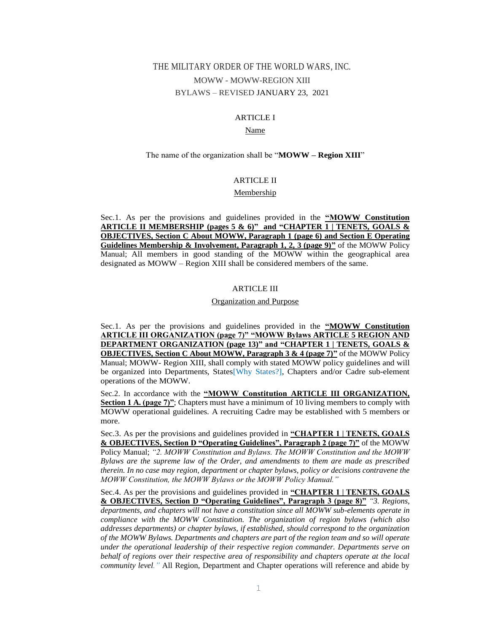# THE MILITARY ORDER OF THE WORLD WARS, INC. MOWW - MOWW-REGION XIII BYLAWS – REVISED JANUARY 23, 2021

# ARTICLE I

# Name

### The name of the organization shall be "**MOWW – Region XIII**"

# ARTICLE II

### Membership

Sec.1. As per the provisions and guidelines provided in the **"MOWW Constitution ARTICLE II MEMBERSHIP (pages 5 & 6)" and "CHAPTER 1 | TENETS, GOALS & OBJECTIVES, Section C About MOWW, Paragraph 1 (page 6) and Section E Operating Guidelines Membership & Involvement, Paragraph 1, 2, 3 (page 9)"** of the MOWW Policy Manual; All members in good standing of the MOWW within the geographical area designated as MOWW – Region XIII shall be considered members of the same.

### ARTICLE III

### Organization and Purpose

Sec.1. As per the provisions and guidelines provided in the **"MOWW Constitution ARTICLE III ORGANIZATION (page 7)" "MOWW Bylaws ARTICLE 5 REGION AND DEPARTMENT ORGANIZATION (page 13)" and "CHAPTER 1 | TENETS, GOALS & OBJECTIVES, Section C About MOWW, Paragraph 3 & 4 (page 7)"** of the MOWW Policy Manual; MOWW- Region XIII, shall comply with stated MOWW policy guidelines and will be organized into Departments, States[Why States?], Chapters and/or Cadre sub-element operations of the MOWW.

Sec.2. In accordance with the **"MOWW Constitution ARTICLE III ORGANIZATION, Section 1 A. (page 7)"**; Chapters must have a minimum of 10 living members to comply with MOWW operational guidelines. A recruiting Cadre may be established with 5 members or more.

Sec.3. As per the provisions and guidelines provided in **"CHAPTER 1 | TENETS, GOALS & OBJECTIVES, Section D "Operating Guidelines", Paragraph 2 (page 7)"** of the MOWW Policy Manual; *"2. MOWW Constitution and Bylaws. The MOWW Constitution and the MOWW Bylaws are the supreme law of the Order, and amendments to them are made as prescribed therein. In no case may region, department or chapter bylaws, policy or decisions contravene the MOWW Constitution, the MOWW Bylaws or the MOWW Policy Manual."* 

Sec.4. As per the provisions and guidelines provided in **"CHAPTER 1 | TENETS, GOALS & OBJECTIVES, Section D "Operating Guidelines", Paragraph 3 (page 8)"** *"3. Regions, departments, and chapters will not have a constitution since all MOWW sub-elements operate in compliance with the MOWW Constitution. The organization of region bylaws (which also addresses departments) or chapter bylaws, if established, should correspond to the organization of the MOWW Bylaws. Departments and chapters are part of the region team and so will operate under the operational leadership of their respective region commander. Departments serve on behalf of regions over their respective area of responsibility and chapters operate at the local community level."* All Region, Department and Chapter operations will reference and abide by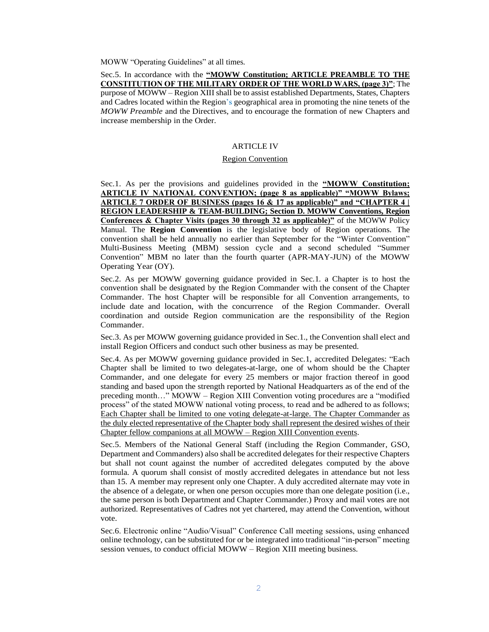MOWW "Operating Guidelines" at all times.

Sec.5. In accordance with the **"MOWW Constitution; ARTICLE PREAMBLE TO THE CONSTITUTION OF THE MILITARY ORDER OF THE WORLD WARS, (page 3)"**; The purpose of MOWW – Region XIII shall be to assist established Departments, States, Chapters and Cadres located within the Region's geographical area in promoting the nine tenets of the *MOWW Preamble* and the Directives, and to encourage the formation of new Chapters and increase membership in the Order.

# ARTICLE IV

### Region Convention

Sec.1. As per the provisions and guidelines provided in the **"MOWW Constitution; ARTICLE IV NATIONAL CONVENTION; (page 8 as applicable)" "MOWW Bylaws; ARTICLE 7 ORDER OF BUSINESS (pages 16 & 17 as applicable)" and "CHAPTER 4 | REGION LEADERSHIP & TEAM-BUILDING; Section D. MOWW Conventions, Region Conferences & Chapter Visits (pages 30 through 32 as applicable)"** of the MOWW Policy Manual. The **Region Convention** is the legislative body of Region operations. The convention shall be held annually no earlier than September for the "Winter Convention" Multi-Business Meeting (MBM) session cycle and a second scheduled "Summer Convention" MBM no later than the fourth quarter (APR-MAY-JUN) of the MOWW Operating Year (OY).

Sec.2. As per MOWW governing guidance provided in Sec.1. a Chapter is to host the convention shall be designated by the Region Commander with the consent of the Chapter Commander. The host Chapter will be responsible for all Convention arrangements, to include date and location, with the concurrence of the Region Commander. Overall coordination and outside Region communication are the responsibility of the Region Commander.

Sec.3. As per MOWW governing guidance provided in Sec.1., the Convention shall elect and install Region Officers and conduct such other business as may be presented.

Sec.4. As per MOWW governing guidance provided in Sec.1, accredited Delegates: "Each Chapter shall be limited to two delegates-at-large, one of whom should be the Chapter Commander, and one delegate for every 25 members or major fraction thereof in good standing and based upon the strength reported by National Headquarters as of the end of the preceding month…" MOWW – Region XIII Convention voting procedures are a "modified process" of the stated MOWW national voting process, to read and be adhered to as follows; Each Chapter shall be limited to one voting delegate-at-large. The Chapter Commander as the duly elected representative of the Chapter body shall represent the desired wishes of their Chapter fellow companions at all MOWW – Region XIII Convention events.

Sec.5. Members of the National General Staff (including the Region Commander, GSO, Department and Commanders) also shall be accredited delegates for their respective Chapters but shall not count against the number of accredited delegates computed by the above formula. A quorum shall consist of mostly accredited delegates in attendance but not less than 15. A member may represent only one Chapter. A duly accredited alternate may vote in the absence of a delegate, or when one person occupies more than one delegate position (i.e., the same person is both Department and Chapter Commander.) Proxy and mail votes are not authorized. Representatives of Cadres not yet chartered, may attend the Convention, without vote.

Sec.6. Electronic online "Audio/Visual" Conference Call meeting sessions, using enhanced online technology, can be substituted for or be integrated into traditional "in-person" meeting session venues, to conduct official MOWW – Region XIII meeting business.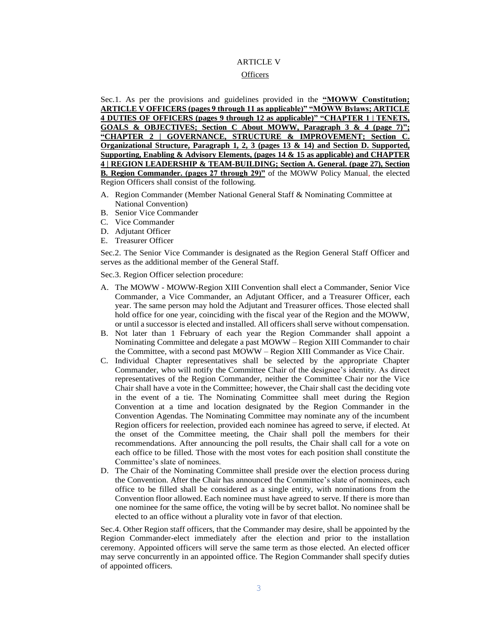# ARTICLE V

# **Officers**

Sec.1. As per the provisions and guidelines provided in the **"MOWW Constitution; ARTICLE V OFFICERS (pages 9 through 11 as applicable)" "MOWW Bylaws; ARTICLE 4 DUTIES OF OFFICERS (pages 9 through 12 as applicable)" "CHAPTER 1 | TENETS, GOALS & OBJECTIVES; Section C About MOWW, Paragraph 3 & 4 (page 7)"; "CHAPTER 2 | GOVERNANCE, STRUCTURE & IMPROVEMENT; Section C. Organizational Structure, Paragraph 1, 2, 3 (pages 13 & 14) and Section D. Supported, Supporting, Enabling & Advisory Elements, (pages 14 & 15 as applicable) and CHAPTER 4 | REGION LEADERSHIP & TEAM-BUILDING; Section A. General. (page 27), Section B. Region Commander. (pages 27 through 29)"** of the MOWW Policy Manual, the elected Region Officers shall consist of the following.

- A. Region Commander (Member National General Staff & Nominating Committee at National Convention)
- B. Senior Vice Commander
- C. Vice Commander
- D. Adjutant Officer
- E. Treasurer Officer

Sec.2. The Senior Vice Commander is designated as the Region General Staff Officer and serves as the additional member of the General Staff.

Sec.3. Region Officer selection procedure:

- A. The MOWW MOWW-Region XIII Convention shall elect a Commander, Senior Vice Commander, a Vice Commander, an Adjutant Officer, and a Treasurer Officer, each year. The same person may hold the Adjutant and Treasurer offices. Those elected shall hold office for one year, coinciding with the fiscal year of the Region and the MOWW, or until a successor is elected and installed. All officers shall serve without compensation.
- B. Not later than 1 February of each year the Region Commander shall appoint a Nominating Committee and delegate a past MOWW – Region XIII Commander to chair the Committee, with a second past MOWW – Region XIII Commander as Vice Chair.
- C. Individual Chapter representatives shall be selected by the appropriate Chapter Commander, who will notify the Committee Chair of the designee's identity. As direct representatives of the Region Commander, neither the Committee Chair nor the Vice Chair shall have a vote in the Committee; however, the Chair shall cast the deciding vote in the event of a tie. The Nominating Committee shall meet during the Region Convention at a time and location designated by the Region Commander in the Convention Agendas. The Nominating Committee may nominate any of the incumbent Region officers for reelection, provided each nominee has agreed to serve, if elected. At the onset of the Committee meeting, the Chair shall poll the members for their recommendations. After announcing the poll results, the Chair shall call for a vote on each office to be filled. Those with the most votes for each position shall constitute the Committee's slate of nominees.
- D. The Chair of the Nominating Committee shall preside over the election process during the Convention. After the Chair has announced the Committee's slate of nominees, each office to be filled shall be considered as a single entity, with nominations from the Convention floor allowed. Each nominee must have agreed to serve. If there is more than one nominee for the same office, the voting will be by secret ballot. No nominee shall be elected to an office without a plurality vote in favor of that election.

Sec.4. Other Region staff officers, that the Commander may desire, shall be appointed by the Region Commander-elect immediately after the election and prior to the installation ceremony. Appointed officers will serve the same term as those elected. An elected officer may serve concurrently in an appointed office. The Region Commander shall specify duties of appointed officers.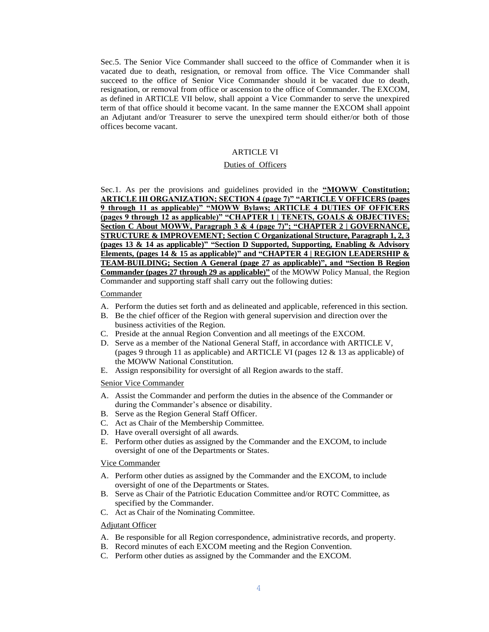Sec.5. The Senior Vice Commander shall succeed to the office of Commander when it is vacated due to death, resignation, or removal from office. The Vice Commander shall succeed to the office of Senior Vice Commander should it be vacated due to death, resignation, or removal from office or ascension to the office of Commander. The EXCOM, as defined in ARTICLE VII below, shall appoint a Vice Commander to serve the unexpired term of that office should it become vacant. In the same manner the EXCOM shall appoint an Adjutant and/or Treasurer to serve the unexpired term should either/or both of those offices become vacant.

### ARTICLE VI

# Duties of Officers

Sec.1. As per the provisions and guidelines provided in the **"MOWW Constitution; ARTICLE III ORGANIZATION; SECTION 4 (page 7)" "ARTICLE V OFFICERS (pages 9 through 11 as applicable)" "MOWW Bylaws; ARTICLE 4 DUTIES OF OFFICERS (pages 9 through 12 as applicable)" "CHAPTER 1 | TENETS, GOALS & OBJECTIVES; Section C About MOWW, Paragraph 3 & 4 (page 7)"; "CHAPTER 2 | GOVERNANCE, STRUCTURE & IMPROVEMENT; Section C Organizational Structure, Paragraph 1, 2, 3 (pages 13 & 14 as applicable)" "Section D Supported, Supporting, Enabling & Advisory Elements, (pages 14 & 15 as applicable)" and "CHAPTER 4 | REGION LEADERSHIP & TEAM-BUILDING; Section A General (page 27 as applicable)", and "Section B Region Commander (pages 27 through 29 as applicable)"** of the MOWW Policy Manual, the Region Commander and supporting staff shall carry out the following duties:

### **Commander**

- A. Perform the duties set forth and as delineated and applicable, referenced in this section.
- B. Be the chief officer of the Region with general supervision and direction over the business activities of the Region.
- C. Preside at the annual Region Convention and all meetings of the EXCOM.
- D. Serve as a member of the National General Staff, in accordance with ARTICLE V, (pages 9 through 11 as applicable) and ARTICLE VI (pages 12 & 13 as applicable) of the MOWW National Constitution.
- E. Assign responsibility for oversight of all Region awards to the staff.

Senior Vice Commander

- A. Assist the Commander and perform the duties in the absence of the Commander or during the Commander's absence or disability.
- B. Serve as the Region General Staff Officer.
- C. Act as Chair of the Membership Committee.
- D. Have overall oversight of all awards.
- E. Perform other duties as assigned by the Commander and the EXCOM, to include oversight of one of the Departments or States.

### Vice Commander

- A. Perform other duties as assigned by the Commander and the EXCOM, to include oversight of one of the Departments or States.
- B. Serve as Chair of the Patriotic Education Committee and/or ROTC Committee, as specified by the Commander.
- C. Act as Chair of the Nominating Committee.

## Adjutant Officer

- A. Be responsible for all Region correspondence, administrative records, and property.
- B. Record minutes of each EXCOM meeting and the Region Convention.
- C. Perform other duties as assigned by the Commander and the EXCOM.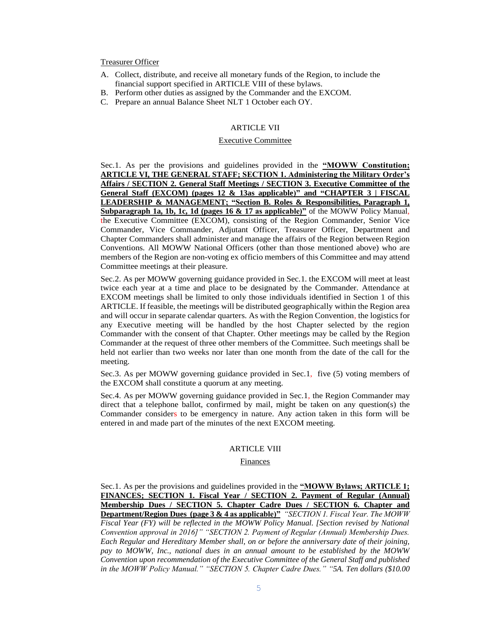# Treasurer Officer

- A. Collect, distribute, and receive all monetary funds of the Region, to include the financial support specified in ARTICLE VIII of these bylaws.
- B. Perform other duties as assigned by the Commander and the EXCOM.
- C. Prepare an annual Balance Sheet NLT 1 October each OY.

# ARTICLE VII

# Executive Committee

Sec.1. As per the provisions and guidelines provided in the **"MOWW Constitution; ARTICLE VI, THE GENERAL STAFF; SECTION 1. Administering the Military Order's Affairs / SECTION 2. General Staff Meetings / SECTION 3. Executive Committee of the General Staff (EXCOM) (pages 12 & 13as applicable)" and "CHAPTER 3 | FISCAL LEADERSHIP & MANAGEMENT; "Section B. Roles & Responsibilities, Paragraph 1, Subparagraph 1a, 1b, 1c, 1d (pages 16 & 17 as applicable)"** of the MOWW Policy Manual, the Executive Committee (EXCOM), consisting of the Region Commander, Senior Vice Commander, Vice Commander, Adjutant Officer, Treasurer Officer, Department and Chapter Commanders shall administer and manage the affairs of the Region between Region Conventions. All MOWW National Officers (other than those mentioned above) who are members of the Region are non-voting ex officio members of this Committee and may attend Committee meetings at their pleasure.

Sec.2. As per MOWW governing guidance provided in Sec.1. the EXCOM will meet at least twice each year at a time and place to be designated by the Commander. Attendance at EXCOM meetings shall be limited to only those individuals identified in Section 1 of this ARTICLE. If feasible, the meetings will be distributed geographically within the Region area and will occur in separate calendar quarters. As with the Region Convention, the logistics for any Executive meeting will be handled by the host Chapter selected by the region Commander with the consent of that Chapter. Other meetings may be called by the Region Commander at the request of three other members of the Committee. Such meetings shall be held not earlier than two weeks nor later than one month from the date of the call for the meeting.

Sec.3. As per MOWW governing guidance provided in Sec.1, five (5) voting members of the EXCOM shall constitute a quorum at any meeting.

Sec.4. As per MOWW governing guidance provided in Sec.1, the Region Commander may direct that a telephone ballot, confirmed by mail, might be taken on any question(s) the Commander considers to be emergency in nature. Any action taken in this form will be entered in and made part of the minutes of the next EXCOM meeting.

#### ARTICLE VIII

#### Finances

Sec.1. As per the provisions and guidelines provided in the **"MOWW Bylaws; ARTICLE 1; FINANCES; SECTION 1. Fiscal Year / SECTION 2. Payment of Regular (Annual) Membership Dues / SECTION 5. Chapter Cadre Dues / SECTION 6. Chapter and Department/Region Dues (page 3 & 4 as applicable)"** *"SECTION 1. Fiscal Year. The MOWW Fiscal Year (FY) will be reflected in the MOWW Policy Manual. [Section revised by National Convention approval in 2016]" "SECTION 2. Payment of Regular (Annual) Membership Dues. Each Regular and Hereditary Member shall, on or before the anniversary date of their joining, pay to MOWW, Inc., national dues in an annual amount to be established by the MOWW Convention upon recommendation of the Executive Committee of the General Staff and published in the MOWW Policy Manual." "SECTION 5. Chapter Cadre Dues." "5A. Ten dollars (\$10.00*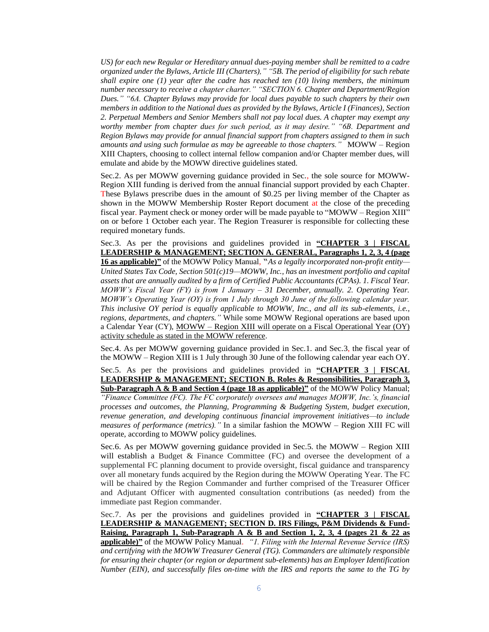*US) for each new Regular or Hereditary annual dues-paying member shall be remitted to a cadre organized under the Bylaws, Article III (Charters)," "5B. The period of eligibility for such rebate shall expire one (1) year after the cadre has reached ten (10) living members, the minimum number necessary to receive a chapter charter." "SECTION 6. Chapter and Department/Region Dues." "6A. Chapter Bylaws may provide for local dues payable to such chapters by their own members in addition to the National dues as provided by the Bylaws, Article I (Finances), Section 2. Perpetual Members and Senior Members shall not pay local dues. A chapter may exempt any worthy member from chapter dues for such period, as it may desire." "6B. Department and Region Bylaws may provide for annual financial support from chapters assigned to them in such amounts and using such formulae as may be agreeable to those chapters."* MOWW – Region XIII Chapters, choosing to collect internal fellow companion and/or Chapter member dues, will emulate and abide by the MOWW directive guidelines stated.

Sec.2. As per MOWW governing guidance provided in Sec., the sole source for MOWW-Region XIII funding is derived from the annual financial support provided by each Chapter. These Bylaws prescribe dues in the amount of \$0.25 per living member of the Chapter as shown in the MOWW Membership Roster Report document at the close of the preceding fiscal year. Payment check or money order will be made payable to "MOWW – Region XIII" on or before 1 October each year. The Region Treasurer is responsible for collecting these required monetary funds.

Sec.3. As per the provisions and guidelines provided in **"CHAPTER 3 | FISCAL LEADERSHIP & MANAGEMENT; SECTION A. GENERAL, Paragraphs 1, 2, 3, 4 (page 16 as applicable)"** of the MOWW Policy Manual, "*As a legally incorporated non-profit entity— United States Tax Code, Section 501(c)19—MOWW, Inc., has an investment portfolio and capital assets that are annually audited by a firm of Certified Public Accountants (CPAs). 1. Fiscal Year. MOWW's Fiscal Year (FY) is from 1 January – 31 December, annually. 2. Operating Year. MOWW's Operating Year (OY) is from 1 July through 30 June of the following calendar year. This inclusive OY period is equally applicable to MOWW, Inc., and all its sub-elements, i.e., regions, departments, and chapters."* While some MOWW Regional operations are based upon a Calendar Year (CY),  $MOWW - Region XIII$  will operate on a Fiscal Operational Year  $(OY)$ activity schedule as stated in the MOWW reference.

Sec.4. As per MOWW governing guidance provided in Sec.1. and Sec.3, the fiscal year of the MOWW – Region XIII is 1 July through 30 June of the following calendar year each OY.

Sec.5. As per the provisions and guidelines provided in **"CHAPTER 3 | FISCAL LEADERSHIP & MANAGEMENT; SECTION B. Roles & Responsibilities, Paragraph 3, Sub-Paragraph A & B and Section 4 (page 18 as applicable)"** of the MOWW Policy Manual;

*"Finance Committee (FC). The FC corporately oversees and manages MOWW, Inc.'s, financial processes and outcomes, the Planning, Programming & Budgeting System, budget execution, revenue generation, and developing continuous financial improvement initiatives—to include measures of performance (metrics)."* In a similar fashion the MOWW – Region XIII FC will operate, according to MOWW policy guidelines.

Sec.6. As per MOWW governing guidance provided in Sec.5. the MOWW – Region XIII will establish a Budget & Finance Committee (FC) and oversee the development of a supplemental FC planning document to provide oversight, fiscal guidance and transparency over all monetary funds acquired by the Region during the MOWW Operating Year. The FC will be chaired by the Region Commander and further comprised of the Treasurer Officer and Adjutant Officer with augmented consultation contributions (as needed) from the immediate past Region commander.

Sec.7. As per the provisions and guidelines provided in **"CHAPTER 3 | FISCAL LEADERSHIP & MANAGEMENT; SECTION D. IRS Filings, P&M Dividends & Fund-Raising, Paragraph 1, Sub-Paragraph A & B and Section 1, 2, 3, 4 (pages 21 & 22 as applicable)"** of the MOWW Policy Manual. *"1. Filing with the Internal Revenue Service (IRS) and certifying with the MOWW Treasurer General (TG). Commanders are ultimately responsible for ensuring their chapter (or region or department sub-elements) has an Employer Identification Number (EIN), and successfully files on-time with the IRS and reports the same to the TG by*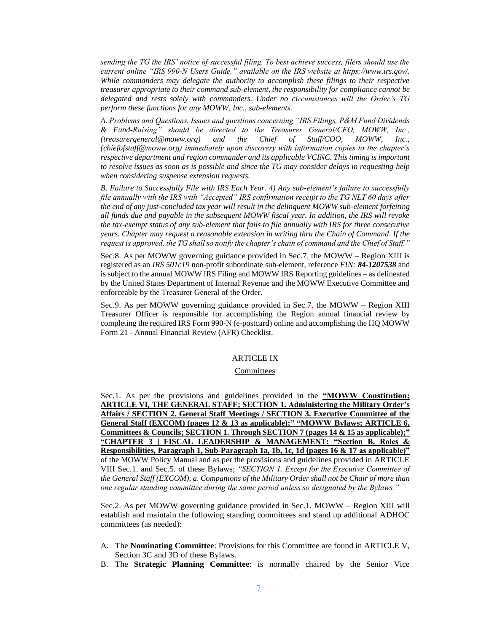*sending the TG the IRS' notice of successful filing. To best achieve success, filers should use the current online "IRS 990-N Users Guide," available on the IRS website at https://www.irs.gov/. While commanders may delegate the authority to accomplish these filings to their respective treasurer appropriate to their command sub-element, the responsibility for compliance cannot be delegated and rests solely with commanders. Under no circumstances will the Order's TG perform these functions for any MOWW, Inc., sub-elements.* 

*A. Problems and Questions. Issues and questions concerning "IRS Filings, P&M Fund Dividends & Fund-Raising" should be directed to the Treasurer General/CFO, MOWW, Inc., (treasurergeneral@moww.org) and the Chief of Staff/COO, MOWW, Inc., (chiefofstaff@moww.org) immediately upon discovery with information copies to the chapter's respective department and region commander and its applicable VCINC. This timing is important to resolve issues as soon as is possible and since the TG may consider delays in requesting help when considering suspense extension requests.* 

*B. Failure to Successfully File with IRS Each Year. 4) Any sub-element's failure to successfully file annually with the IRS with "Accepted" IRS confirmation receipt to the TG NLT 60 days after the end of any just-concluded tax year will result in the delinquent MOWW sub-element forfeiting all funds due and payable in the subsequent MOWW fiscal year. In addition, the IRS will revoke the tax-exempt status of any sub-element that fails to file annually with IRS for three consecutive years. Chapter may request a reasonable extension in writing thru the Chain of Command. If the request is approved, the TG shall so notify the chapter's chain of command and the Chief of Staff."*

Sec.8. As per MOWW governing guidance provided in Sec.7, the MOWW – Region XIII is registered as an *IRS 501c19* non-profit subordinate sub-element, reference *EIN: 84-1207538* and is subject to the annual MOWW IRS Filing and MOWW IRS Reporting guidelines – as delineated by the United States Department of Internal Revenue and the MOWW Executive Committee and enforceable by the Treasurer General of the Order.

Sec.9. As per MOWW governing guidance provided in Sec.7, the MOWW – Region XIII Treasurer Officer is responsible for accomplishing the Region annual financial review by completing the required IRS Form 990-N (e-postcard) online and accomplishing the HQ MOWW Form 21 - Annual Financial Review (AFR) Checklist.

## ARTICLE IX

### **Committees**

Sec.1. As per the provisions and guidelines provided in the **"MOWW Constitution; ARTICLE VI, THE GENERAL STAFF; SECTION 1. Administering the Military Order's Affairs / SECTION 2. General Staff Meetings / SECTION 3. Executive Committee of the General Staff (EXCOM) (pages 12 & 13 as applicable);" "MOWW Bylaws; ARTICLE 6, Committees & Councils; SECTION 1. Through SECTION 7 (pages 14 & 15 as applicable);" "CHAPTER 3 | FISCAL LEADERSHIP & MANAGEMENT; "Section B. Roles & Responsibilities, Paragraph 1, Sub-Paragraph 1a, 1b, 1c, 1d (pages 16 & 17 as applicable)"** of the MOWW Policy Manual and as per the provisions and guidelines provided in ARTICLE VIII Sec.1. and Sec.5. of these Bylaws; *"SECTION 1. Except for the Executive Committee of the General Staff (EXCOM), a. Companions of the Military Order shall not be Chair of more than one regular standing committee during the same period unless so designated by the Bylaws."*

Sec.2. As per MOWW governing guidance provided in Sec.1. MOWW – Region XIII will establish and maintain the following standing committees and stand up additional ADHOC committees (as needed):

- A. The **Nominating Committee**: Provisions for this Committee are found in ARTICLE V, Section 3C and 3D of these Bylaws.
- B. The **Strategic Planning Committee**: is normally chaired by the Senior Vice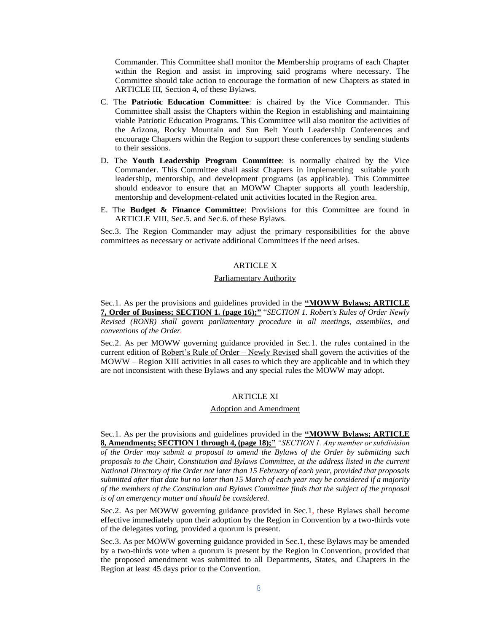Commander. This Committee shall monitor the Membership programs of each Chapter within the Region and assist in improving said programs where necessary. The Committee should take action to encourage the formation of new Chapters as stated in ARTICLE III, Section 4, of these Bylaws.

- C. The **Patriotic Education Committee**: is chaired by the Vice Commander. This Committee shall assist the Chapters within the Region in establishing and maintaining viable Patriotic Education Programs. This Committee will also monitor the activities of the Arizona, Rocky Mountain and Sun Belt Youth Leadership Conferences and encourage Chapters within the Region to support these conferences by sending students to their sessions.
- D. The **Youth Leadership Program Committee**: is normally chaired by the Vice Commander. This Committee shall assist Chapters in implementing suitable youth leadership, mentorship, and development programs (as applicable). This Committee should endeavor to ensure that an MOWW Chapter supports all youth leadership, mentorship and development-related unit activities located in the Region area.
- E. The **Budget & Finance Committee**: Provisions for this Committee are found in ARTICLE VIII, Sec.5. and Sec.6. of these Bylaws.

Sec.3. The Region Commander may adjust the primary responsibilities for the above committees as necessary or activate additional Committees if the need arises.

# ARTICLE X

### Parliamentary Authority

Sec.1. As per the provisions and guidelines provided in the **"MOWW Bylaws; ARTICLE 7, Order of Business; SECTION 1. (page 16);"** "*SECTION 1. Robert's Rules of Order Newly Revised (RONR) shall govern parliamentary procedure in all meetings, assemblies, and conventions of the Order.* 

Sec.2. As per MOWW governing guidance provided in Sec.1. the rules contained in the current edition of Robert's Rule of Order – Newly Revised shall govern the activities of the MOWW – Region XIII activities in all cases to which they are applicable and in which they are not inconsistent with these Bylaws and any special rules the MOWW may adopt.

### ARTICLE XI

### Adoption and Amendment

Sec.1. As per the provisions and guidelines provided in the **"MOWW Bylaws; ARTICLE 8, Amendments; SECTION 1 through 4, (page 18);"***"SECTION 1. Any member or subdivision of the Order may submit a proposal to amend the Bylaws of the Order by submitting such proposals to the Chair, Constitution and Bylaws Committee, at the address listed in the current National Directory of the Order not later than 15 February of each year, provided that proposals submitted after that date but no later than 15 March of each year may be considered if a majority of the members of the Constitution and Bylaws Committee finds that the subject of the proposal is of an emergency matter and should be considered.* 

Sec.2. As per MOWW governing guidance provided in Sec.1, these Bylaws shall become effective immediately upon their adoption by the Region in Convention by a two-thirds vote of the delegates voting, provided a quorum is present.

Sec.3. As per MOWW governing guidance provided in Sec.1, these Bylaws may be amended by a two-thirds vote when a quorum is present by the Region in Convention, provided that the proposed amendment was submitted to all Departments, States, and Chapters in the Region at least 45 days prior to the Convention.